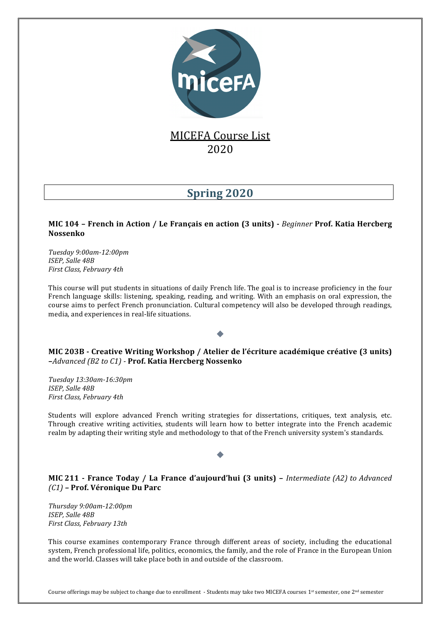

## **MICEFA Course List** 2020

# **Spring 2020**

#### **MIC 104 – French in Action / Le Français en action (3 units) -** *Beginner* **Prof. Katia Hercberg Nossenko**

*Tuesday 9:00am-12:00pm ISEP, Salle 48B First Class, February 4th*

This course will put students in situations of daily French life. The goal is to increase proficiency in the four French language skills: listening, speaking, reading, and writing. With an emphasis on oral expression, the course aims to perfect French pronunciation. Cultural competency will also be developed through readings, media, and experiences in real-life situations.

**MIC** 203B - Creative Writing Workshop / Atelier de l'écriture académique créative (3 units) **–***Advanced (B2 to C1) -* **Prof. Katia Hercberg Nossenko**

*Tuesday 13:30am-16:30pm ISEP, Salle 48B First Class, February 4th*

Students will explore advanced French writing strategies for dissertations, critiques, text analysis, etc. Through creative writing activities, students will learn how to better integrate into the French academic realm by adapting their writing style and methodology to that of the French university system's standards.

**MIC** 211 - France Today / La France d'aujourd'hui (3 units) – *Intermediate* (A2) to Advanced *(C1) –* **Prof. Véronique Du Parc**

*Thursday 9:00am-12:00pm ISEP, Salle 48B First Class, February 13th*

This course examines contemporary France through different areas of society, including the educational system, French professional life, politics, economics, the family, and the role of France in the European Union and the world. Classes will take place both in and outside of the classroom.

Course offerings may be subject to change due to enrollment - Students may take two MICEFA courses  $1^{st}$  semester, one  $2^{nd}$  semester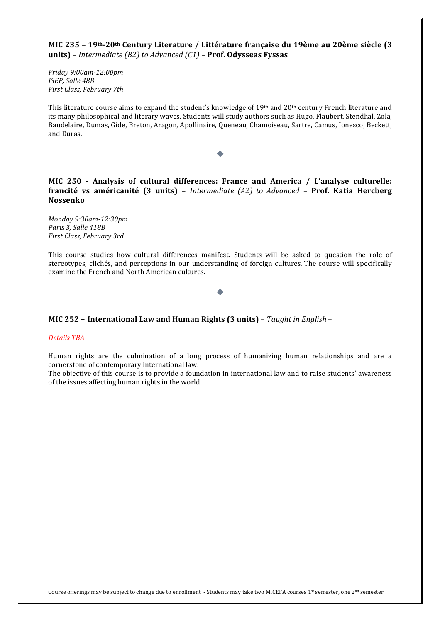**MIC 235 – 19th-20th Century Literature / Littérature française du 19ème au 20ème siècle (3 units)** – *Intermediate* (B2) to *Advanced* (C1) – **Prof.** Odysseas Fyssas

*Friday 9:00am-12:00pm ISEP, Salle 48B First Class, February 7th*

This literature course aims to expand the student's knowledge of  $19<sup>th</sup>$  and  $20<sup>th</sup>$  century French literature and its many philosophical and literary waves. Students will study authors such as Hugo, Flaubert, Stendhal, Zola, Baudelaire, Dumas, Gide, Breton, Aragon, Apollinaire, Queneau, Chamoiseau, Sartre, Camus, Ionesco, Beckett, and Duras.

**MIC** 250 **-** Analysis of cultural differences: France and America / L'analyse culturelle: **francité vs américanité (3 units)** – *Intermediate (A2)* to *Advanced* – **Prof.** Katia Hercberg **Nossenko**

*Monday 9:30am-12:30pm* Paris 3, Salle 418B *First Class, February 3rd*

This course studies how cultural differences manifest. Students will be asked to question the role of stereotypes, clichés, and perceptions in our understanding of foreign cultures. The course will specifically examine the French and North American cultures.

**MIC** 252 - International Law and Human Rights (3 units) - Taught in English -

#### *Details TBA*

Human rights are the culmination of a long process of humanizing human relationships and are a cornerstone of contemporary international law.

The objective of this course is to provide a foundation in international law and to raise students' awareness of the issues affecting human rights in the world.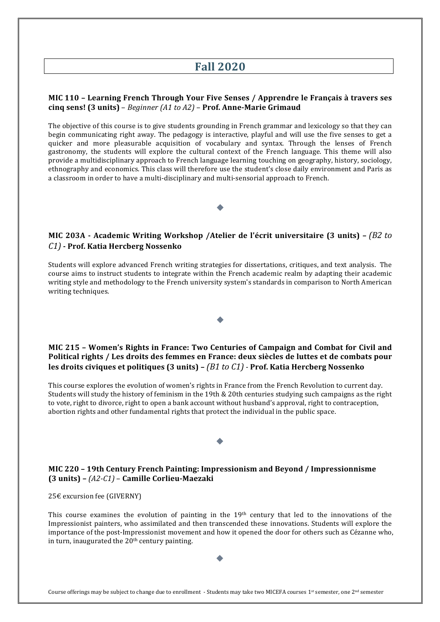## **Fall 2020**

#### **MIC** 110 - Learning French Through Your Five Senses / Apprendre le Français à travers ses **cinq sens! (3 units)** – *Beginner (A1 to A2)* – **Prof. Anne-Marie Grimaud**

The objective of this course is to give students grounding in French grammar and lexicology so that they can begin communicating right away. The pedagogy is interactive, playful and will use the five senses to get a quicker and more pleasurable acquisition of vocabulary and syntax. Through the lenses of French gastronomy, the students will explore the cultural context of the French language. This theme will also provide a multidisciplinary approach to French language learning touching on geography, history, sociology, ethnography and economics. This class will therefore use the student's close daily environment and Paris as a classroom in order to have a multi-disciplinary and multi-sensorial approach to French.

### **MIC 203A** - Academic Writing Workshop /Atelier de l'écrit universitaire (3 units) – *(B2 to C1)* **- Prof. Katia Hercberg Nossenko**

Students will explore advanced French writing strategies for dissertations, critiques, and text analysis. The course aims to instruct students to integrate within the French academic realm by adapting their academic writing style and methodology to the French university system's standards in comparison to North American writing techniques.

#### **MIC 215 - Women's Rights in France: Two Centuries of Campaign and Combat for Civil and** Political rights / Les droits des femmes en France: deux siècles de luttes et de combats pour **les droits civiques et politiques (3 units) –** *(B1 to C1)* **- Prof. Katia Hercberg Nossenko**

This course explores the evolution of women's rights in France from the French Revolution to current day. Students will study the history of feminism in the 19th & 20th centuries studying such campaigns as the right to vote, right to divorce, right to open a bank account without husband's approval, right to contraception, abortion rights and other fundamental rights that protect the individual in the public space.

#### **MIC 220 – 19th Century French Painting: Impressionism and Beyond / Impressionnisme (3 units) –** *(A2-C1)* – **Camille Corlieu-Maezaki**

25€ excursion fee (GIVERNY)

This course examines the evolution of painting in the  $19<sup>th</sup>$  century that led to the innovations of the Impressionist painters, who assimilated and then transcended these innovations. Students will explore the importance of the post-Impressionist movement and how it opened the door for others such as Cézanne who, in turn, inaugurated the  $20<sup>th</sup>$  century painting.

Course offerings may be subject to change due to enrollment - Students may take two MICEFA courses  $1^{st}$  semester, one  $2^{nd}$  semester